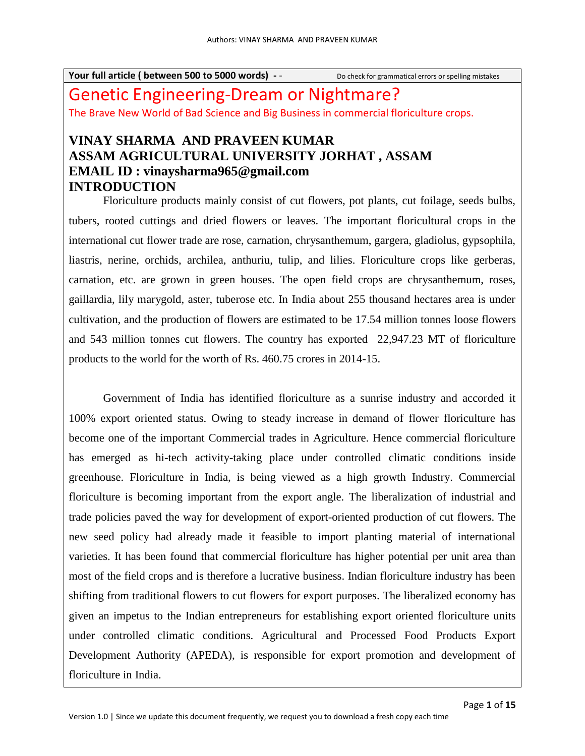# Genetic Engineering-Dream or Nightmare? The Brave New World of Bad Science and Big Business in commercial floriculture crops.

# **VINAY SHARMA AND PRAVEEN KUMAR ASSAM AGRICULTURAL UNIVERSITY JORHAT , ASSAM EMAIL ID : vinaysharma965@gmail.com INTRODUCTION**

Floriculture products mainly consist of cut flowers, pot plants, cut foilage, seeds bulbs, tubers, rooted cuttings and dried flowers or leaves. The important floricultural crops in the international cut flower trade are rose, carnation, chrysanthemum, gargera, gladiolus, gypsophila, liastris, nerine, orchids, archilea, anthuriu, tulip, and lilies. Floriculture crops like gerberas, carnation, etc. are grown in green houses. The open field crops are chrysanthemum, roses, gaillardia, lily marygold, aster, tuberose etc. In India about 255 thousand hectares area is under cultivation, and the production of flowers are estimated to be 17.54 million tonnes loose flowers and 543 million tonnes cut flowers. The country has exported 22,947.23 MT of floriculture products to the world for the worth of Rs. 460.75 crores in 2014-15.

Government of India has identified floriculture as a sunrise industry and accorded it 100% export oriented status. Owing to steady increase in demand of flower floriculture has become one of the important Commercial trades in Agriculture. Hence commercial floriculture has emerged as hi-tech activity-taking place under controlled climatic conditions inside greenhouse. Floriculture in India, is being viewed as a high growth Industry. Commercial floriculture is becoming important from the export angle. The liberalization of industrial and trade policies paved the way for development of export-oriented production of cut flowers. The new seed policy had already made it feasible to import planting material of international varieties. It has been found that commercial floriculture has higher potential per unit area than most of the field crops and is therefore a lucrative business. Indian floriculture industry has been shifting from traditional flowers to cut flowers for export purposes. The liberalized economy has given an impetus to the Indian entrepreneurs for establishing export oriented floriculture units under controlled climatic conditions. Agricultural and Processed Food Products Export Development Authority (APEDA), is responsible for export promotion and development of floriculture in India.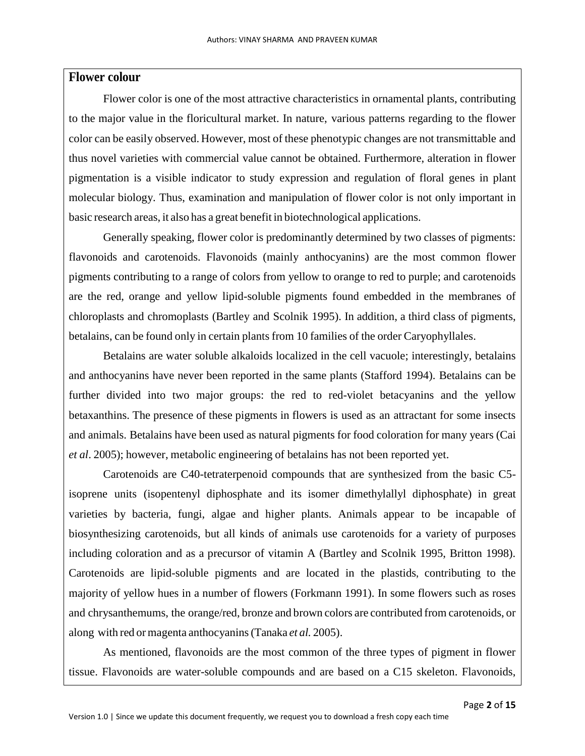## **Flower colour**

Flower color is one of the most attractive characteristics in ornamental plants, contributing to the major value in the floricultural market. In nature, various patterns regarding to the flower color can be easily observed. However, most of these phenotypic changes are not transmittable and thus novel varieties with commercial value cannot be obtained. Furthermore, alteration in flower pigmentation is a visible indicator to study expression and regulation of floral genes in plant molecular biology. Thus, examination and manipulation of flower color is not only important in basic research areas, it also has a great benefit in biotechnological applications.

Generally speaking, flower color is predominantly determined by two classes of pigments: flavonoids and carotenoids. Flavonoids (mainly anthocyanins) are the most common flower pigments contributing to a range of colors from yellow to orange to red to purple; and carotenoids are the red, orange and yellow lipid-soluble pigments found embedded in the membranes of chloroplasts and chromoplasts (Bartley and Scolnik 1995). In addition, a third class of pigments, betalains, can be found only in certain plants from 10 families of the order Caryophyllales.

Betalains are water soluble alkaloids localized in the cell vacuole; interestingly, betalains and anthocyanins have never been reported in the same plants (Stafford 1994). Betalains can be further divided into two major groups: the red to red-violet betacyanins and the yellow betaxanthins. The presence of these pigments in flowers is used as an attractant for some insects and animals. Betalains have been used as natural pigments for food coloration for many years (Cai *et al*. 2005); however, metabolic engineering of betalains has not been reported yet.

Carotenoids are C40-tetraterpenoid compounds that are synthesized from the basic C5 isoprene units (isopentenyl diphosphate and its isomer dimethylallyl diphosphate) in great varieties by bacteria, fungi, algae and higher plants. Animals appear to be incapable of biosynthesizing carotenoids, but all kinds of animals use carotenoids for a variety of purposes including coloration and as a precursor of vitamin A (Bartley and Scolnik 1995, Britton 1998). Carotenoids are lipid-soluble pigments and are located in the plastids, contributing to the majority of yellow hues in a number of flowers (Forkmann 1991). In some flowers such as roses and chrysanthemums, the orange/red, bronze and brown colors are contributed from carotenoids, or along with red or magenta anthocyanins(Tanaka *et al.* 2005).

As mentioned, flavonoids are the most common of the three types of pigment in flower tissue. Flavonoids are water-soluble compounds and are based on a C15 skeleton. Flavonoids,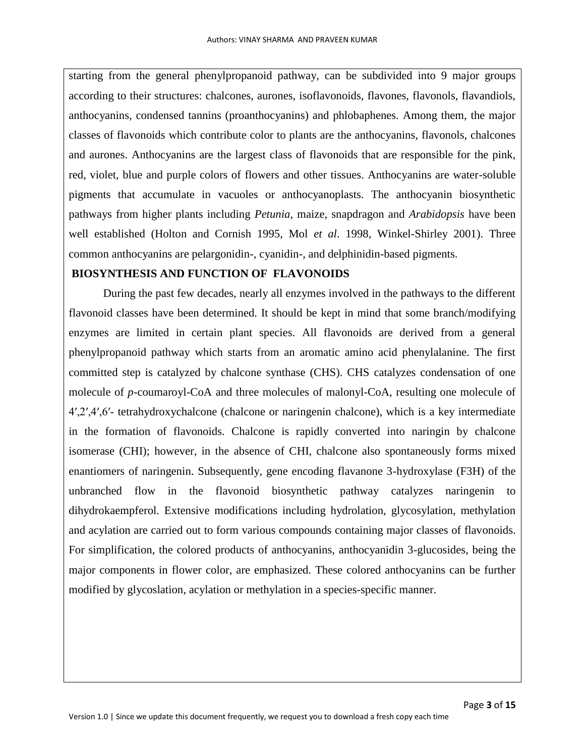starting from the general phenylpropanoid pathway, can be subdivided into 9 major groups according to their structures: chalcones, aurones, isoflavonoids, flavones, flavonols, flavandiols, anthocyanins, condensed tannins (proanthocyanins) and phlobaphenes. Among them, the major classes of flavonoids which contribute color to plants are the anthocyanins, flavonols, chalcones and aurones. Anthocyanins are the largest class of flavonoids that are responsible for the pink, red, violet, blue and purple colors of flowers and other tissues. Anthocyanins are water-soluble pigments that accumulate in vacuoles or anthocyanoplasts. The anthocyanin biosynthetic pathways from higher plants including *Petunia*, maize, snapdragon and *Arabidopsis* have been well established (Holton and Cornish 1995, Mol *et al*. 1998, Winkel-Shirley 2001). Three common anthocyanins are pelargonidin-, cyanidin-, and delphinidin-based pigments.

## **BIOSYNTHESIS AND FUNCTION OF FLAVONOIDS**

During the past few decades, nearly all enzymes involved in the pathways to the different flavonoid classes have been determined. It should be kept in mind that some branch/modifying enzymes are limited in certain plant species. All flavonoids are derived from a general phenylpropanoid pathway which starts from an aromatic amino acid phenylalanine. The first committed step is catalyzed by chalcone synthase (CHS). CHS catalyzes condensation of one molecule of *p*-coumaroyl-CoA and three molecules of malonyl-CoA, resulting one molecule of 4′,2′,4′,6′- tetrahydroxychalcone (chalcone or naringenin chalcone), which is a key intermediate in the formation of flavonoids. Chalcone is rapidly converted into naringin by chalcone isomerase (CHI); however, in the absence of CHI, chalcone also spontaneously forms mixed enantiomers of naringenin. Subsequently, gene encoding flavanone 3-hydroxylase (F3H) of the unbranched flow in the flavonoid biosynthetic pathway catalyzes naringenin to dihydrokaempferol. Extensive modifications including hydrolation, glycosylation, methylation and acylation are carried out to form various compounds containing major classes of flavonoids. For simplification, the colored products of anthocyanins, anthocyanidin 3-glucosides, being the major components in flower color, are emphasized. These colored anthocyanins can be further modified by glycoslation, acylation or methylation in a species-specific manner.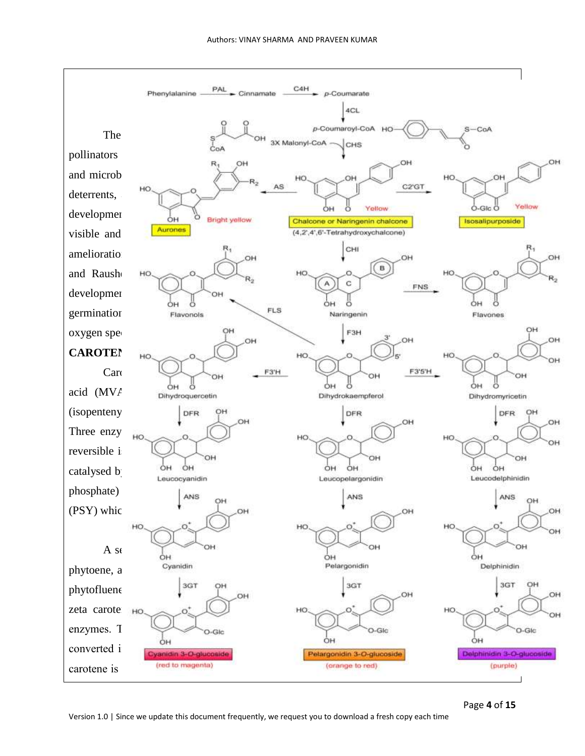

Page **4** of **15**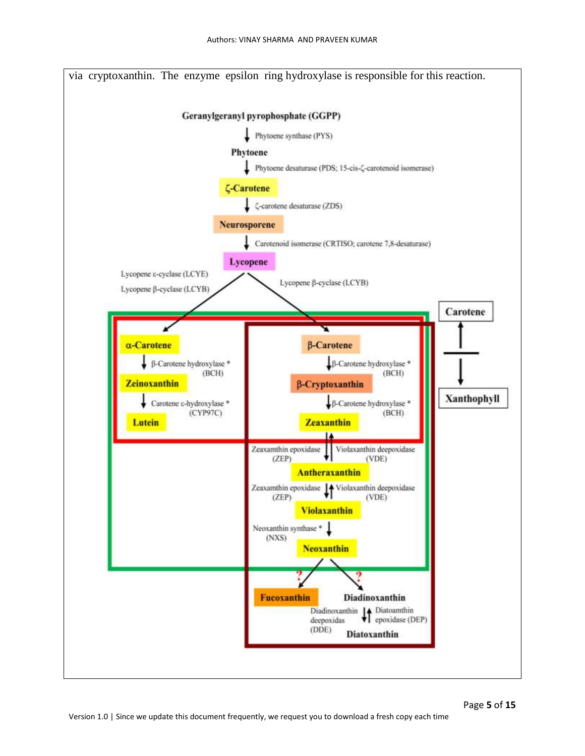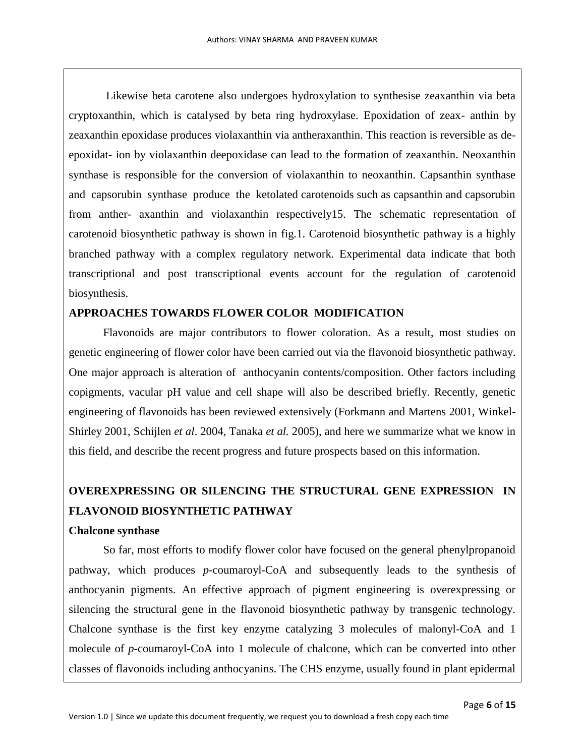Likewise beta carotene also undergoes hydroxylation to synthesise zeaxanthin via beta cryptoxanthin, which is catalysed by beta ring hydroxylase. Epoxidation of zeax- anthin by zeaxanthin epoxidase produces violaxanthin via antheraxanthin. This reaction is reversible as deepoxidat- ion by violaxanthin deepoxidase can lead to the formation of zeaxanthin. Neoxanthin synthase is responsible for the conversion of violaxanthin to neoxanthin. Capsanthin synthase and capsorubin synthase produce the ketolated carotenoids such as capsanthin and capsorubin from anther- axanthin and violaxanthin respectively15. The schematic representation of carotenoid biosynthetic pathway is shown in fig.1. Carotenoid biosynthetic pathway is a highly branched pathway with a complex regulatory network. Experimental data indicate that both transcriptional and post transcriptional events account for the regulation of carotenoid biosynthesis.

## **APPROACHES TOWARDS FLOWER COLOR MODIFICATION**

Flavonoids are major contributors to flower coloration. As a result, most studies on genetic engineering of flower color have been carried out via the flavonoid biosynthetic pathway. One major approach is alteration of anthocyanin contents/composition. Other factors including copigments, vacular pH value and cell shape will also be described briefly. Recently, genetic engineering of flavonoids has been reviewed extensively (Forkmann and Martens 2001, Winkel-Shirley 2001, Schijlen *et al*. 2004, Tanaka *et al.* 2005), and here we summarize what we know in this field, and describe the recent progress and future prospects based on this information.

# **OVEREXPRESSING OR SILENCING THE STRUCTURAL GENE EXPRESSION IN FLAVONOID BIOSYNTHETIC PATHWAY**

## **Chalcone synthase**

So far, most efforts to modify flower color have focused on the general phenylpropanoid pathway, which produces *p*-coumaroyl-CoA and subsequently leads to the synthesis of anthocyanin pigments. An effective approach of pigment engineering is overexpressing or silencing the structural gene in the flavonoid biosynthetic pathway by transgenic technology. Chalcone synthase is the first key enzyme catalyzing 3 molecules of malonyl-CoA and 1 molecule of *p*-coumaroyl-CoA into 1 molecule of chalcone, which can be converted into other classes of flavonoids including anthocyanins. The CHS enzyme, usually found in plant epidermal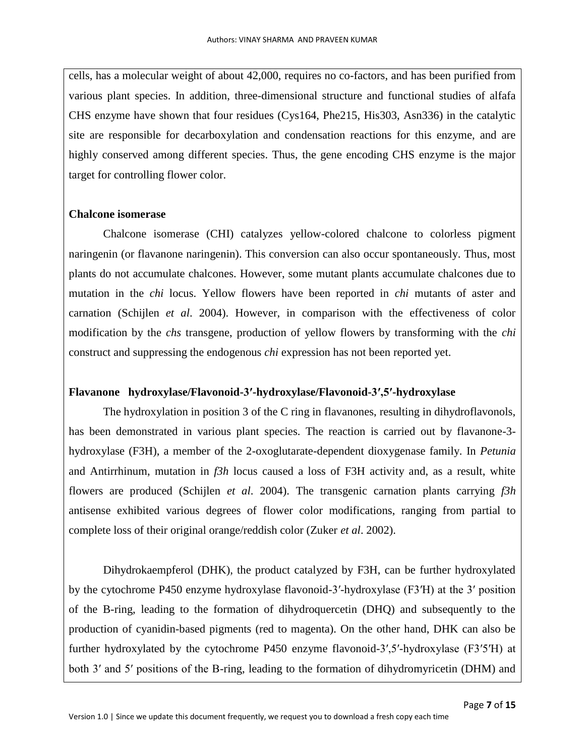cells, has a molecular weight of about 42,000, requires no co-factors, and has been purified from various plant species. In addition, three-dimensional structure and functional studies of alfafa CHS enzyme have shown that four residues (Cys164, Phe215, His303, Asn336) in the catalytic site are responsible for decarboxylation and condensation reactions for this enzyme, and are highly conserved among different species. Thus, the gene encoding CHS enzyme is the major target for controlling flower color.

#### **Chalcone isomerase**

Chalcone isomerase (CHI) catalyzes yellow-colored chalcone to colorless pigment naringenin (or flavanone naringenin). This conversion can also occur spontaneously. Thus, most plants do not accumulate chalcones. However, some mutant plants accumulate chalcones due to mutation in the *chi* locus. Yellow flowers have been reported in *chi* mutants of aster and carnation (Schijlen *et al*. 2004). However, in comparison with the effectiveness of color modification by the *chs* transgene, production of yellow flowers by transforming with the *chi*  construct and suppressing the endogenous *chi* expression has not been reported yet.

## **Flavanone hydroxylase/Flavonoid-3′-hydroxylase/Flavonoid-3′,5′-hydroxylase**

The hydroxylation in position 3 of the C ring in flavanones, resulting in dihydroflavonols, has been demonstrated in various plant species. The reaction is carried out by flavanone-3 hydroxylase (F3H), a member of the 2-oxoglutarate-dependent dioxygenase family. In *Petunia*  and Antirrhinum, mutation in *f3h* locus caused a loss of F3H activity and, as a result, white flowers are produced (Schijlen *et al*. 2004). The transgenic carnation plants carrying *f3h*  antisense exhibited various degrees of flower color modifications, ranging from partial to complete loss of their original orange/reddish color (Zuker *et al*. 2002).

Dihydrokaempferol (DHK), the product catalyzed by F3H, can be further hydroxylated by the cytochrome P450 enzyme hydroxylase flavonoid-3′-hydroxylase (F3′H) at the 3′ position of the B-ring, leading to the formation of dihydroquercetin (DHQ) and subsequently to the production of cyanidin-based pigments (red to magenta). On the other hand, DHK can also be further hydroxylated by the cytochrome P450 enzyme flavonoid-3′,5′-hydroxylase (F3′5′H) at both 3′ and 5′ positions of the B-ring, leading to the formation of dihydromyricetin (DHM) and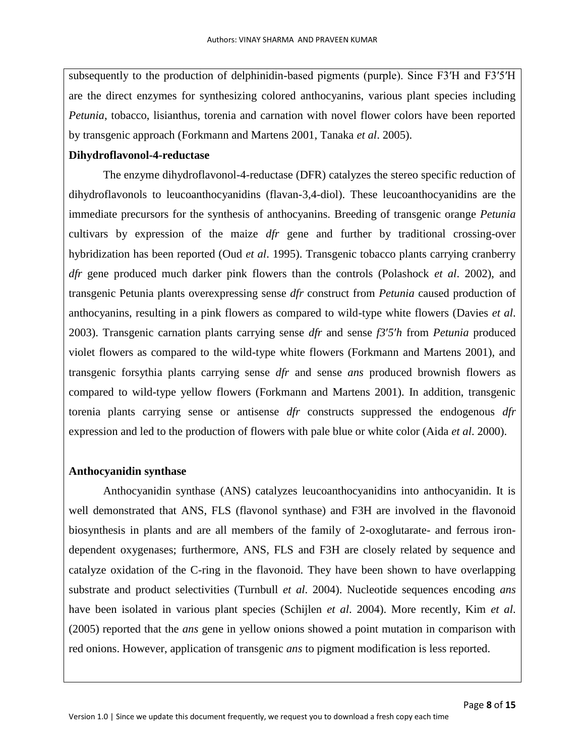subsequently to the production of delphinidin-based pigments (purple). Since F3′H and F3′5′H are the direct enzymes for synthesizing colored anthocyanins, various plant species including *Petunia*, tobacco, lisianthus, torenia and carnation with novel flower colors have been reported by transgenic approach (Forkmann and Martens 2001, Tanaka *et al*. 2005).

## **Dihydroflavonol-4-reductase**

The enzyme dihydroflavonol-4-reductase (DFR) catalyzes the stereo specific reduction of dihydroflavonols to leucoanthocyanidins (flavan-3,4-diol). These leucoanthocyanidins are the immediate precursors for the synthesis of anthocyanins. Breeding of transgenic orange *Petunia*  cultivars by expression of the maize *dfr* gene and further by traditional crossing-over hybridization has been reported (Oud *et al*. 1995). Transgenic tobacco plants carrying cranberry *dfr* gene produced much darker pink flowers than the controls (Polashock *et al*. 2002), and transgenic Petunia plants overexpressing sense *dfr* construct from *Petunia* caused production of anthocyanins, resulting in a pink flowers as compared to wild-type white flowers (Davies *et al*. 2003). Transgenic carnation plants carrying sense *dfr* and sense *f3*′*5*′*h* from *Petunia* produced violet flowers as compared to the wild-type white flowers (Forkmann and Martens 2001), and transgenic forsythia plants carrying sense *dfr* and sense *ans* produced brownish flowers as compared to wild-type yellow flowers (Forkmann and Martens 2001). In addition, transgenic torenia plants carrying sense or antisense *dfr* constructs suppressed the endogenous *dfr*  expression and led to the production of flowers with pale blue or white color (Aida *et al*. 2000).

## **Anthocyanidin synthase**

Anthocyanidin synthase (ANS) catalyzes leucoanthocyanidins into anthocyanidin. It is well demonstrated that ANS, FLS (flavonol synthase) and F3H are involved in the flavonoid biosynthesis in plants and are all members of the family of 2-oxoglutarate- and ferrous irondependent oxygenases; furthermore, ANS, FLS and F3H are closely related by sequence and catalyze oxidation of the C-ring in the flavonoid. They have been shown to have overlapping substrate and product selectivities (Turnbull *et al*. 2004). Nucleotide sequences encoding *ans*  have been isolated in various plant species (Schijlen *et al*. 2004). More recently, Kim *et al*. (2005) reported that the *ans* gene in yellow onions showed a point mutation in comparison with red onions. However, application of transgenic *ans* to pigment modification is less reported.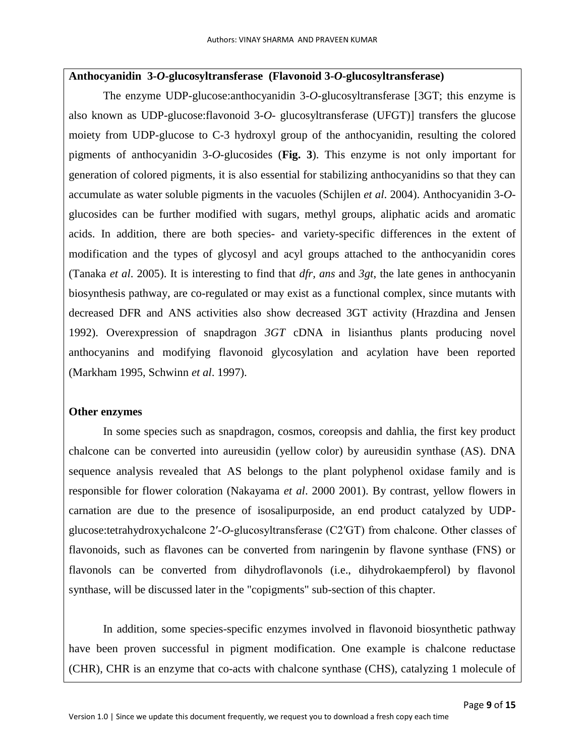#### **Anthocyanidin 3-***O***-glucosyltransferase (Flavonoid 3-***O***-glucosyltransferase)**

The enzyme UDP-glucose:anthocyanidin 3-*O*-glucosyltransferase [3GT; this enzyme is also known as UDP-glucose:flavonoid 3-*O*- glucosyltransferase (UFGT)] transfers the glucose moiety from UDP-glucose to C-3 hydroxyl group of the anthocyanidin, resulting the colored pigments of anthocyanidin 3-*O*-glucosides (**Fig. 3**). This enzyme is not only important for generation of colored pigments, it is also essential for stabilizing anthocyanidins so that they can accumulate as water soluble pigments in the vacuoles (Schijlen *et al*. 2004). Anthocyanidin 3-*O*glucosides can be further modified with sugars, methyl groups, aliphatic acids and aromatic acids. In addition, there are both species- and variety-specific differences in the extent of modification and the types of glycosyl and acyl groups attached to the anthocyanidin cores (Tanaka *et al*. 2005). It is interesting to find that *dfr, ans* and *3gt*, the late genes in anthocyanin biosynthesis pathway, are co-regulated or may exist as a functional complex, since mutants with decreased DFR and ANS activities also show decreased 3GT activity (Hrazdina and Jensen 1992). Overexpression of snapdragon *3GT* cDNA in lisianthus plants producing novel anthocyanins and modifying flavonoid glycosylation and acylation have been reported (Markham 1995, Schwinn *et al*. 1997).

#### **Other enzymes**

In some species such as snapdragon, cosmos, coreopsis and dahlia, the first key product chalcone can be converted into aureusidin (yellow color) by aureusidin synthase (AS). DNA sequence analysis revealed that AS belongs to the plant polyphenol oxidase family and is responsible for flower coloration (Nakayama *et al*. 2000 2001). By contrast, yellow flowers in carnation are due to the presence of isosalipurposide, an end product catalyzed by UDPglucose:tetrahydroxychalcone 2′-*O*-glucosyltransferase (C2′GT) from chalcone. Other classes of flavonoids, such as flavones can be converted from naringenin by flavone synthase (FNS) or flavonols can be converted from dihydroflavonols (i.e., dihydrokaempferol) by flavonol synthase, will be discussed later in the "copigments" sub-section of this chapter.

In addition, some species-specific enzymes involved in flavonoid biosynthetic pathway have been proven successful in pigment modification. One example is chalcone reductase (CHR), CHR is an enzyme that co-acts with chalcone synthase (CHS), catalyzing 1 molecule of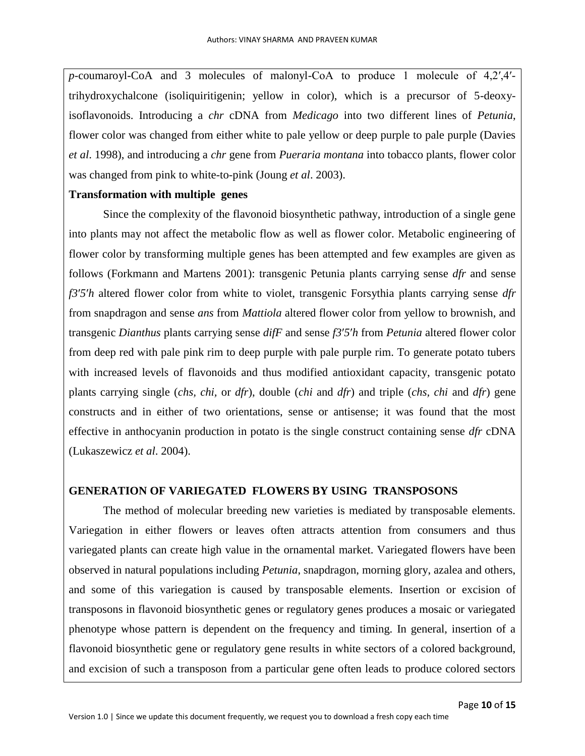*p*-coumaroyl-CoA and 3 molecules of malonyl-CoA to produce 1 molecule of 4,2′,4′ trihydroxychalcone (isoliquiritigenin; yellow in color), which is a precursor of 5-deoxyisoflavonoids. Introducing a *chr* cDNA from *Medicago* into two different lines of *Petunia*, flower color was changed from either white to pale yellow or deep purple to pale purple (Davies *et al*. 1998), and introducing a *chr* gene from *Pueraria montana* into tobacco plants, flower color was changed from pink to white-to-pink (Joung *et al*. 2003).

#### **Transformation with multiple genes**

Since the complexity of the flavonoid biosynthetic pathway, introduction of a single gene into plants may not affect the metabolic flow as well as flower color. Metabolic engineering of flower color by transforming multiple genes has been attempted and few examples are given as follows (Forkmann and Martens 2001): transgenic Petunia plants carrying sense *dfr* and sense *f3*′*5*′*h* altered flower color from white to violet, transgenic Forsythia plants carrying sense *dfr*  from snapdragon and sense *ans* from *Mattiola* altered flower color from yellow to brownish, and transgenic *Dianthus* plants carrying sense *difF* and sense *f3*′*5*′*h* from *Petunia* altered flower color from deep red with pale pink rim to deep purple with pale purple rim. To generate potato tubers with increased levels of flavonoids and thus modified antioxidant capacity, transgenic potato plants carrying single (*chs, chi,* or *dfr*), double (*chi* and *dfr*) and triple (*chs, chi* and *dfr*) gene constructs and in either of two orientations, sense or antisense; it was found that the most effective in anthocyanin production in potato is the single construct containing sense *dfr* cDNA (Lukaszewicz *et al*. 2004).

## **GENERATION OF VARIEGATED FLOWERS BY USING TRANSPOSONS**

The method of molecular breeding new varieties is mediated by transposable elements. Variegation in either flowers or leaves often attracts attention from consumers and thus variegated plants can create high value in the ornamental market. Variegated flowers have been observed in natural populations including *Petunia*, snapdragon, morning glory, azalea and others, and some of this variegation is caused by transposable elements. Insertion or excision of transposons in flavonoid biosynthetic genes or regulatory genes produces a mosaic or variegated phenotype whose pattern is dependent on the frequency and timing. In general, insertion of a flavonoid biosynthetic gene or regulatory gene results in white sectors of a colored background, and excision of such a transposon from a particular gene often leads to produce colored sectors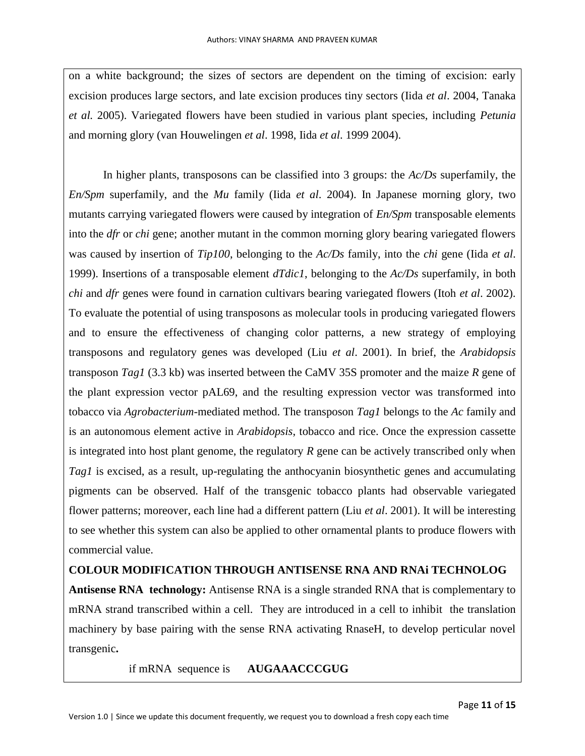on a white background; the sizes of sectors are dependent on the timing of excision: early excision produces large sectors, and late excision produces tiny sectors (Iida *et al*. 2004, Tanaka *et al.* 2005). Variegated flowers have been studied in various plant species, including *Petunia*  and morning glory (van Houwelingen *et al*. 1998, Iida *et al*. 1999 2004).

In higher plants, transposons can be classified into 3 groups: the *Ac/Ds* superfamily, the *En/Spm* superfamily, and the *Mu* family (Iida *et al*. 2004). In Japanese morning glory, two mutants carrying variegated flowers were caused by integration of *En/Spm* transposable elements into the *dfr* or *chi* gene; another mutant in the common morning glory bearing variegated flowers was caused by insertion of *Tip100*, belonging to the *Ac/Ds* family, into the *chi* gene (Iida *et al*. 1999). Insertions of a transposable element *dTdic1*, belonging to the *Ac/Ds* superfamily, in both *chi* and *dfr* genes were found in carnation cultivars bearing variegated flowers (Itoh *et al*. 2002). To evaluate the potential of using transposons as molecular tools in producing variegated flowers and to ensure the effectiveness of changing color patterns, a new strategy of employing transposons and regulatory genes was developed (Liu *et al*. 2001). In brief, the *Arabidopsis*  transposon *Tag1* (3.3 kb) was inserted between the CaMV 35S promoter and the maize *R* gene of the plant expression vector pAL69, and the resulting expression vector was transformed into tobacco via *Agrobacterium*-mediated method. The transposon *Tag1* belongs to the *Ac* family and is an autonomous element active in *Arabidopsis*, tobacco and rice. Once the expression cassette is integrated into host plant genome, the regulatory *R* gene can be actively transcribed only when *Tag1* is excised, as a result, up-regulating the anthocyanin biosynthetic genes and accumulating pigments can be observed. Half of the transgenic tobacco plants had observable variegated flower patterns; moreover, each line had a different pattern (Liu *et al*. 2001). It will be interesting to see whether this system can also be applied to other ornamental plants to produce flowers with commercial value.

## **COLOUR MODIFICATION THROUGH ANTISENSE RNA AND RNAi TECHNOLOG**

**Antisense RNA technology:** Antisense RNA is a single stranded RNA that is complementary to mRNA strand transcribed within a cell. They are introduced in a cell to inhibit the translation machinery by base pairing with the sense RNA activating RnaseH, to develop perticular novel transgenic**.**

if mRNA sequence is **AUGAAACCCGUG**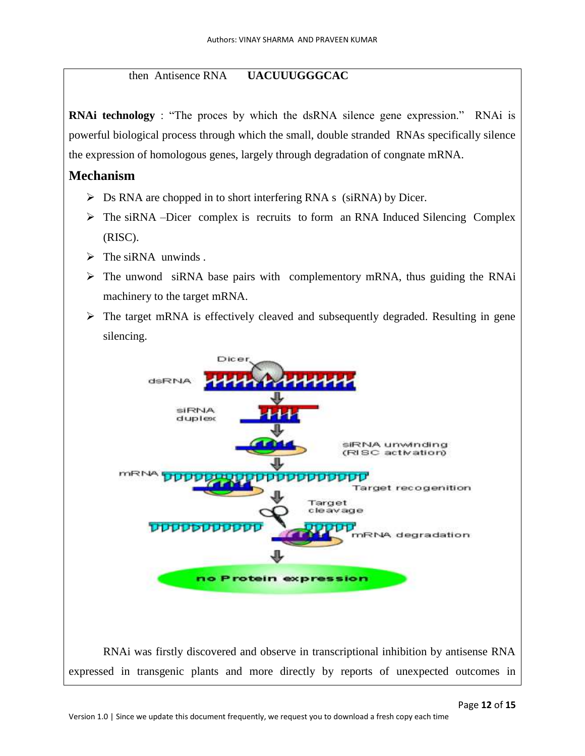## then Antisence RNA **UACUUUGGGCAC**

**RNAi technology** : "The proces by which the dsRNA silence gene expression." RNAi is powerful biological process through which the small, double stranded RNAs specifically silence the expression of homologous genes, largely through degradation of congnate mRNA.

## **Mechanism**

- $\triangleright$  Ds RNA are chopped in to short interfering RNA s (siRNA) by Dicer.
- $\triangleright$  The siRNA –Dicer complex is recruits to form an RNA Induced Silencing Complex (RISC).
- $\triangleright$  The siRNA unwinds.
- $\triangleright$  The unwond siRNA base pairs with complementory mRNA, thus guiding the RNAi machinery to the target mRNA.
- $\triangleright$  The target mRNA is effectively cleaved and subsequently degraded. Resulting in gene silencing.

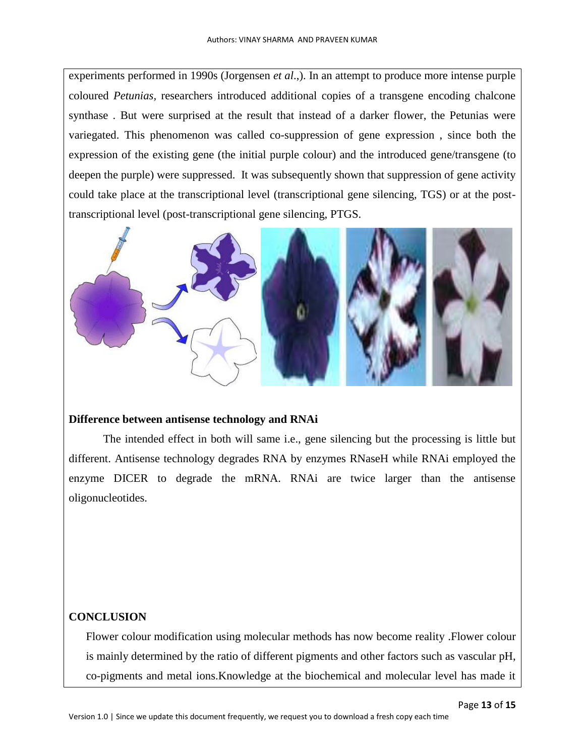experiments performed in 1990s (Jorgensen *et al*.,). In an attempt to produce more intense purple coloured *Petunias,* researchers introduced additional copies of a transgene encoding chalcone synthase . But were surprised at the result that instead of a darker flower, the Petunias were variegated. This phenomenon was called co-suppression of gene expression , since both the expression of the existing gene (the initial purple colour) and the introduced gene/transgene (to deepen the purple) were suppressed. It was subsequently shown that suppression of gene activity could take place at the transcriptional level (transcriptional gene silencing, TGS) or at the posttranscriptional level (post-transcriptional gene silencing, PTGS.



#### **Difference between antisense technology and RNAi**

The intended effect in both will same i.e., gene silencing but the processing is little but different. Antisense technology degrades RNA by enzymes RNaseH while RNAi employed the enzyme DICER to degrade the mRNA. RNAi are twice larger than the antisense oligonucleotides.

## **CONCLUSION**

Flower colour modification using molecular methods has now become reality .Flower colour is mainly determined by the ratio of different pigments and other factors such as vascular pH, co-pigments and metal ions.Knowledge at the biochemical and molecular level has made it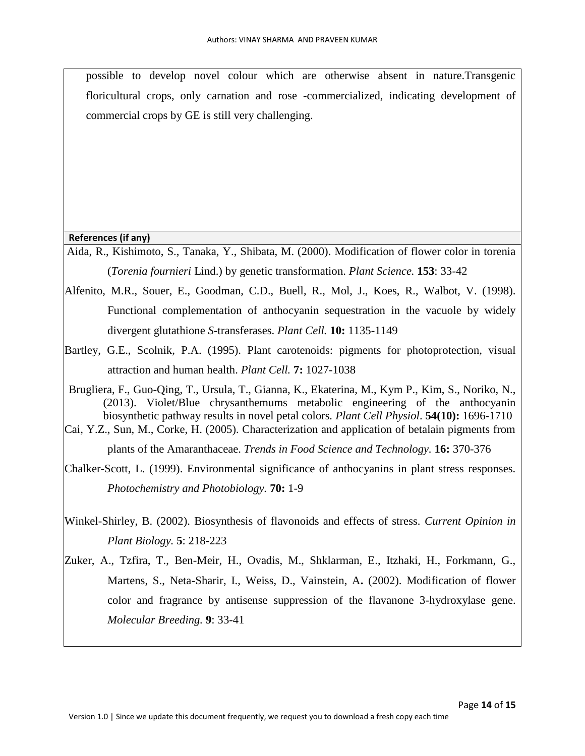possible to develop novel colour which are otherwise absent in nature.Transgenic floricultural crops, only carnation and rose -commercialized, indicating development of commercial crops by GE is still very challenging.

#### **References (if any)**

- Aida, R., Kishimoto, S., Tanaka, Y., Shibata, M. (2000). Modification of flower color in torenia (*Torenia fournieri* Lind.) by genetic transformation. *Plant Science.* **153**: 33-42
- Alfenito, M.R., Souer, E., Goodman, C.D., Buell, R., Mol, J., Koes, R., Walbot, V. (1998). Functional complementation of anthocyanin sequestration in the vacuole by widely divergent glutathione *S*-transferases. *Plant Cell.* **10:** 1135-1149
- Bartley, G.E., Scolnik, P.A. (1995). Plant carotenoids: pigments for photoprotection, visual attraction and human health. *Plant Cell.* **7:** 1027-1038
- Brugliera, F., Guo-Qing, T., Ursula, T., Gianna, K., Ekaterina, M., Kym P., Kim, S., Noriko, N., (2013). Violet/Blue chrysanthemums metabolic engineering of the anthocyanin biosynthetic pathway results in novel petal colors*. Plant Cell Physiol*. **54(10):** 1696-1710
- Cai, Y.Z., Sun, M., Corke, H. (2005). Characterization and application of betalain pigments from plants of the Amaranthaceae. *Trends in Food Science and Technology.* **16:** 370-376
- Chalker-Scott, L. (1999). Environmental significance of anthocyanins in plant stress responses. *Photochemistry and Photobiology.* **70:** 1-9
- Winkel-Shirley, B. (2002). Biosynthesis of flavonoids and effects of stress. *Current Opinion in Plant Biology.* **5**: 218-223
- Zuker, A., Tzfira, T., Ben-Meir, H., Ovadis, M., Shklarman, E., Itzhaki, H., Forkmann, G., Martens, S., Neta-Sharir, I., Weiss, D., Vainstein, A**.** (2002). Modification of flower color and fragrance by antisense suppression of the flavanone 3-hydroxylase gene. *Molecular Breeding.* **9**: 33-41